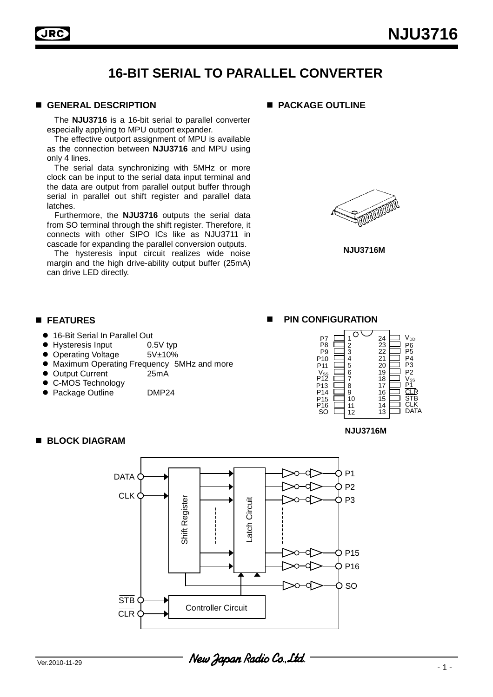## **16-BIT SERIAL TO PARALLEL CONVERTER**

### **GENERAL DESCRIPTION**

The **NJU3716** is a 16-bit serial to parallel converter especially applying to MPU outport expander.

The effective outport assignment of MPU is available as the connection between **NJU3716** and MPU using only 4 lines.

The serial data synchronizing with 5MHz or more clock can be input to the serial data input terminal and the data are output from parallel output buffer through serial in parallel out shift register and parallel data latches.

Furthermore, the **NJU3716** outputs the serial data from SO terminal through the shift register. Therefore, it connects with other SIPO ICs like as NJU3711 in cascade for expanding the parallel conversion outputs.

The hysteresis input circuit realizes wide noise margin and the high drive-ability output buffer (25mA) can drive LED directly.





**NJU3716M** 

### **FEATURES**

- 16-Bit Serial In Parallel Out
- Hysteresis Input 0.5V typ
- Operating Voltage 5V±10%
- Maximum Operating Frequency 5MHz and more
- Output Current 25mA

**BLOCK DIAGRAM** 

- C-MOS Technology
- Package Outline DMP24

#### $P_8 \nbrace{=} 1$ 2 3 4 24 23 22 21 20  $V_{DD}$  $P9$ P<sub>10</sub> P11

**PIN CONFIGURATION** 



**NJU3716M** 

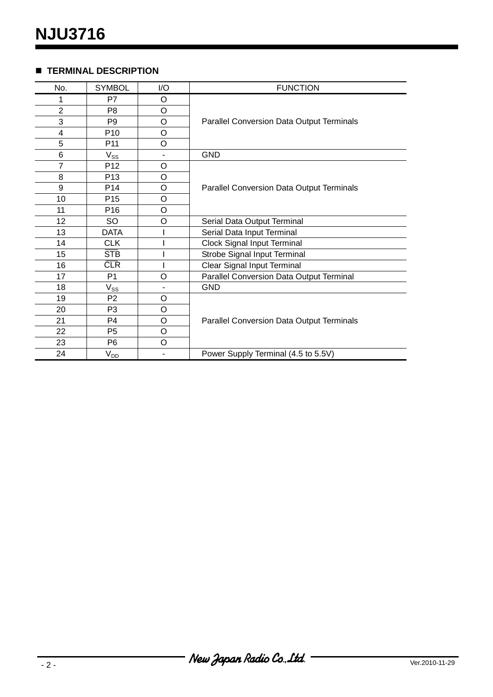### **TERMINAL DESCRIPTION**

| No.            | <b>SYMBOL</b>              | I/O     | <b>FUNCTION</b>                                  |  |  |  |  |
|----------------|----------------------------|---------|--------------------------------------------------|--|--|--|--|
| 1              | P7                         | $\circ$ |                                                  |  |  |  |  |
| $\overline{2}$ | P <sub>8</sub>             | O       |                                                  |  |  |  |  |
| 3              | P <sub>9</sub>             | O       | Parallel Conversion Data Output Terminals        |  |  |  |  |
| 4              | P <sub>10</sub>            | $\circ$ |                                                  |  |  |  |  |
| 5              | P <sub>11</sub>            | O       |                                                  |  |  |  |  |
| 6              | $V_{SS}$                   |         | <b>GND</b>                                       |  |  |  |  |
| 7              | P <sub>12</sub>            | O       |                                                  |  |  |  |  |
| 8              | P <sub>13</sub>            | $\circ$ |                                                  |  |  |  |  |
| 9              | P <sub>14</sub>            | $\circ$ | <b>Parallel Conversion Data Output Terminals</b> |  |  |  |  |
| 10             | P <sub>15</sub>            | $\circ$ |                                                  |  |  |  |  |
| 11             | P <sub>16</sub>            | $\circ$ |                                                  |  |  |  |  |
| 12             | SO                         | O       | Serial Data Output Terminal                      |  |  |  |  |
| 13             | <b>DATA</b>                |         | Serial Data Input Terminal                       |  |  |  |  |
| 14             | <b>CLK</b>                 |         | <b>Clock Signal Input Terminal</b>               |  |  |  |  |
| 15             | <b>STB</b>                 |         | Strobe Signal Input Terminal                     |  |  |  |  |
| 16             | <b>CLR</b>                 |         | Clear Signal Input Terminal                      |  |  |  |  |
| 17             | P <sub>1</sub>             | O       | Parallel Conversion Data Output Terminal         |  |  |  |  |
| 18             | $\mathsf{V}_{\mathsf{SS}}$ |         | <b>GND</b>                                       |  |  |  |  |
| 19             | P <sub>2</sub>             | O       |                                                  |  |  |  |  |
| 20             | P <sub>3</sub>             | $\circ$ |                                                  |  |  |  |  |
| 21             | P <sub>4</sub>             | $\circ$ | Parallel Conversion Data Output Terminals        |  |  |  |  |
| 22             | P <sub>5</sub>             | O       |                                                  |  |  |  |  |
| 23             | P <sub>6</sub>             | O       |                                                  |  |  |  |  |
| 24             | $V_{D\underline{D}}$       |         | Power Supply Terminal (4.5 to 5.5V)              |  |  |  |  |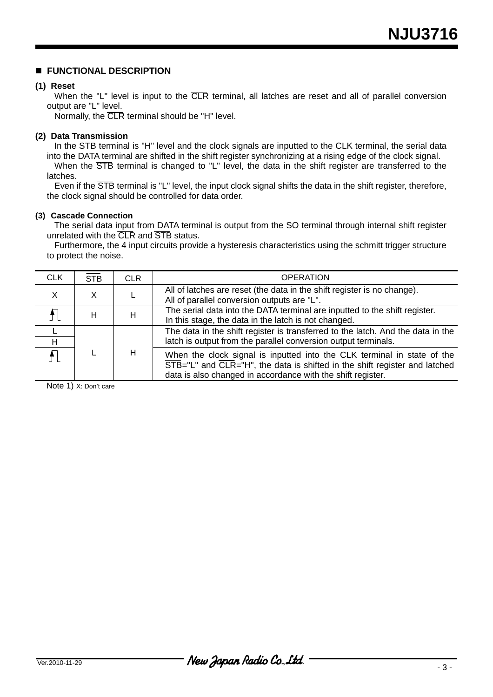### **FUNCTIONAL DESCRIPTION**

### **(1) Reset**

When the "L" level is input to the CLR terminal, all latches are reset and all of parallel conversion output are "L" level.

Normally, the CLR terminal should be "H" level.

### **(2) Data Transmission**

In the  $\overline{\text{STB}}$  terminal is "H" level and the clock signals are inputted to the CLK terminal, the serial data into the DATA terminal are shifted in the shift register synchronizing at a rising edge of the clock signal.

When the STB terminal is changed to "L" level, the data in the shift register are transferred to the latches.

Even if the STB terminal is "L" level, the input clock signal shifts the data in the shift register, therefore, the clock signal should be controlled for data order.

### **(3) Cascade Connection**

The serial data input from DATA terminal is output from the SO terminal through internal shift register unrelated with the CLR and STB status.

Furthermore, the 4 input circuits provide a hysteresis characteristics using the schmitt trigger structure to protect the noise.

| <b>CLK</b> | <b>STB</b> | <b>CLR</b> | <b>OPERATION</b>                                                                                                                                                                                                                                               |
|------------|------------|------------|----------------------------------------------------------------------------------------------------------------------------------------------------------------------------------------------------------------------------------------------------------------|
| X          | X          |            | All of latches are reset (the data in the shift register is no change).<br>All of parallel conversion outputs are "L".                                                                                                                                         |
|            | H          | н          | The serial data into the DATA terminal are inputted to the shift register.<br>In this stage, the data in the latch is not changed.                                                                                                                             |
| H          |            |            | The data in the shift register is transferred to the latch. And the data in the<br>latch is output from the parallel conversion output terminals.                                                                                                              |
|            |            | н          | When the clock signal is inputted into the CLK terminal in state of the<br>$\overline{\text{STB}}$ ="L" and $\overline{\text{CLR}}$ ="H", the data is shifted in the shift register and latched<br>data is also changed in accordance with the shift register. |

Note 1) X: Don't care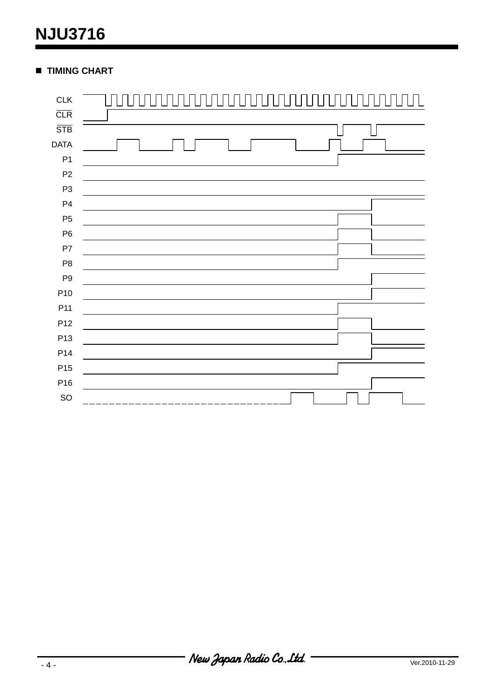# **NJU3716**

### **TIMING CHART**

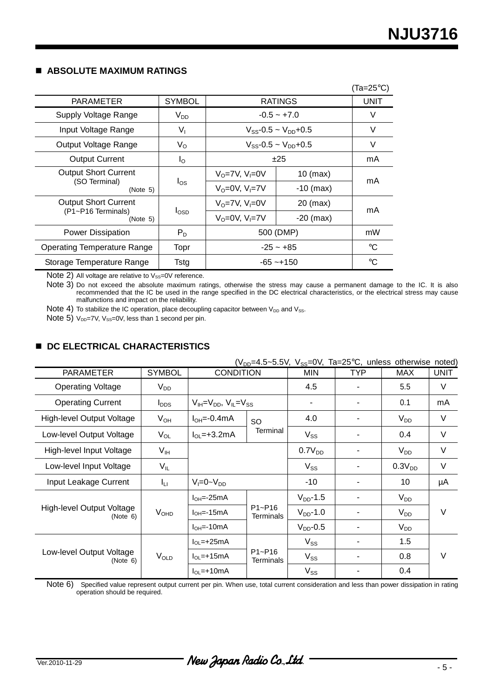### **ABSOLUTE MAXIMUM RATINGS**

|                                            |                  |                               |             | $(Ta=25^{\circ}C)$ |  |
|--------------------------------------------|------------------|-------------------------------|-------------|--------------------|--|
| <b>PARAMETER</b>                           | <b>SYMBOL</b>    | <b>RATINGS</b>                |             | UNIT               |  |
| Supply Voltage Range                       | $V_{DD}$         | $-0.5 - +7.0$                 |             | V                  |  |
| Input Voltage Range                        | V,               | $V_{SS}$ -0.5 ~ $V_{DD}$ +0.5 |             | V                  |  |
| Output Voltage Range                       | $V_{\rm O}$      | $V_{SS} - 0.5 - V_{DD} + 0.5$ |             | V                  |  |
| <b>Output Current</b>                      | $I_{\rm O}$      | ±25                           |             | mA                 |  |
| <b>Output Short Current</b>                | $I_{OS}$         | $V_0 = 7V$ , $V_1 = 0V$       | $10$ (max)  | mA                 |  |
| (SO Terminal)<br>(Note 5)                  |                  | $V_0 = 0V$ , $V_1 = 7V$       | $-10$ (max) |                    |  |
| <b>Output Short Current</b>                |                  | $V_0 = 7V$ , $V_1 = 0V$       | $20$ (max)  | mA                 |  |
| (P1~P16 Terminals)<br>(Note 5)             | $I_{\text{OSD}}$ | $V_0 = 0V$ , $V_1 = 7V$       | $-20$ (max) |                    |  |
| <b>Power Dissipation</b>                   | $P_D$            | 500 (DMP)                     |             | mW                 |  |
| <b>Operating Temperature Range</b><br>Topr |                  | $-25 - +85$                   |             | °C                 |  |
| Storage Temperature Range                  | Tstg             | $-65 - +150$                  |             | °C                 |  |

 $\overline{\text{Note 2}}$  All voltage are relative to  $V_\text{SS}=0$ V reference.

Note 3) Do not exceed the absolute maximum ratings, otherwise the stress may cause a permanent damage to the IC. It is also recommended that the IC be used in the range specified in the DC electrical characteristics, or the electrical stress may cause malfunctions and impact on the reliability.

Note 4) To stabilize the IC operation, place decoupling capacitor between  $V_{DD}$  and  $V_{SS}$ .

Note 5)  $V_{DD}$ =7V,  $V_{SS}$ =0V, less than 1 second per pin.

### **DC ELECTRICAL CHARACTERISTICS**

| $(V_{DD} = 4.5 \sim 5.5V, V_{SS} = 0V, Ta = 25°C, unless otherwise noted)$ |                       |                                       |                                |                    |     |                    |             |
|----------------------------------------------------------------------------|-----------------------|---------------------------------------|--------------------------------|--------------------|-----|--------------------|-------------|
| <b>PARAMETER</b>                                                           | <b>SYMBOL</b>         | <b>CONDITION</b>                      |                                | <b>MIN</b>         | TYP | <b>MAX</b>         | <b>UNIT</b> |
| <b>Operating Voltage</b>                                                   | $V_{DD}$              |                                       | 4.5                            |                    | 5.5 | $\vee$             |             |
| <b>Operating Current</b>                                                   | $I_{\text{DDS}}$      | $V_{IH} = V_{DD}$ , $V_{IL} = V_{SS}$ |                                |                    |     | 0.1                | mA          |
| High-level Output Voltage                                                  | $V_{OH}$              | $I_{OH} = -0.4$ mA                    | SO                             | 4.0                |     | $V_{DD}$           | V           |
| Low-level Output Voltage                                                   | $V_{OL}$              | $IOL=+3.2mA$                          | Terminal                       | $V_{SS}$           |     | 0.4                | V           |
| High-level Input Voltage                                                   | V <sub>IH</sub>       |                                       |                                | 0.7V <sub>DD</sub> |     | $V_{DD}$           | V           |
| Low-level Input Voltage                                                    | $V_{IL}$              |                                       |                                | $V_{SS}$           |     | 0.3V <sub>DD</sub> | V           |
| Input Leakage Current                                                      | Īц                    | $V_I = 0 - V_{DD}$                    |                                | $-10$              |     | 10                 | μA          |
|                                                                            |                       | $IOH=-25mA$                           | $P1 - P16$<br>Terminals        | $V_{DD}$ -1.5      |     | $V_{DD}$           | V           |
| High-level Output Voltage<br>(Note 6)                                      | V <sub>OHD</sub>      | $IOH=-15mA$                           |                                | $V_{DD}$ -1.0      |     | $V_{DD}$           |             |
|                                                                            |                       | $IOH=-10mA$                           |                                | $V_{DD}$ -0.5      |     | $V_{DD}$           |             |
|                                                                            | $V_{OLD}$<br>(Note 6) | $IOL=+25mA$                           | $P1 - P16$<br><b>Terminals</b> | $V_{SS}$           |     | 1.5                | V           |
| Low-level Output Voltage                                                   |                       | $IOL=+15mA$                           |                                | $V_{SS}$           |     | 0.8                |             |
|                                                                            |                       | $I_{OL}$ =+10mA                       |                                | $V_{SS}$           |     | 0.4                |             |

Note 6) Specified value represent output current per pin. When use, total current consideration and less than power dissipation in rating operation should be required.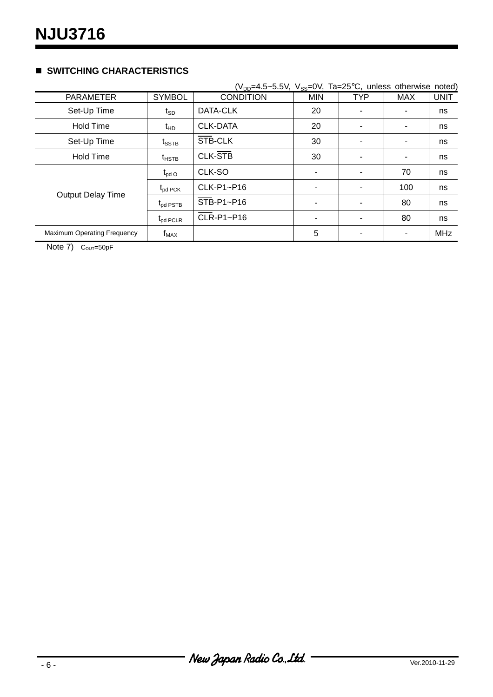### **SWITCHING CHARACTERISTICS**

|                                    |                   | $(V_{DD} = 4.5 \sim 5.5V, V_{SS} = 0V, Ta = 25°C, unless otherwise noted)$ |            |            |     |             |
|------------------------------------|-------------------|----------------------------------------------------------------------------|------------|------------|-----|-------------|
| <b>PARAMETER</b>                   | <b>SYMBOL</b>     | <b>CONDITION</b>                                                           | <b>MIN</b> | <b>TYP</b> | MAX | <b>UNIT</b> |
| Set-Up Time                        | t <sub>sp</sub>   | DATA-CLK                                                                   | 20         |            |     | ns          |
| <b>Hold Time</b>                   | $t_{HD}$          | <b>CLK-DATA</b>                                                            | 20         |            | ۰   | ns          |
| Set-Up Time                        | $t_{\text{SSTB}}$ | STB-CLK                                                                    | 30         |            |     | ns          |
| <b>Hold Time</b>                   | $t_{HSTB}$        | <b>CLK-STB</b>                                                             | 30         |            |     | ns          |
|                                    | $t_{\sf pdO}$     | CLK-SO                                                                     |            |            | 70  | ns          |
| <b>Output Delay Time</b>           | $t_{pd}$ PCK      | CLK-P1~P16                                                                 |            |            | 100 | ns          |
|                                    | $t_{pd}$ PSTB     | STB-P1~P16                                                                 |            |            | 80  | ns          |
|                                    | $t_{pd}$ PCLR     | CLR-P1~P16                                                                 |            |            | 80  | ns          |
| <b>Maximum Operating Frequency</b> | $f_{MAX}$         |                                                                            | 5          |            | ۰   | <b>MHz</b>  |

Note  $7)$  C<sub>OUT</sub>=50pF

New Japan Radio Co., Ltd.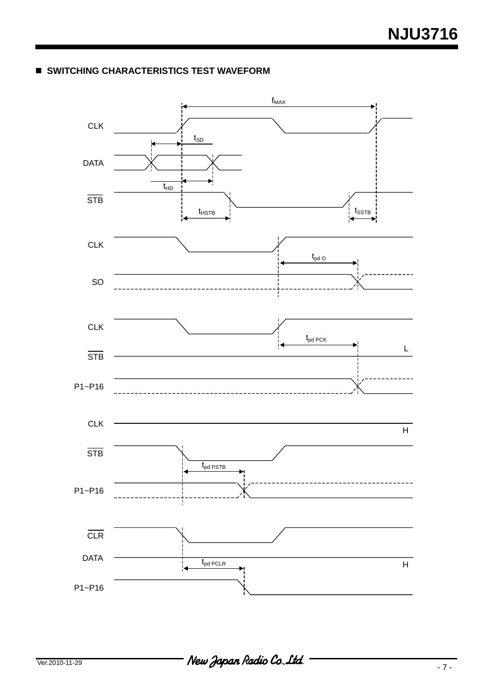### **SWITCHING CHARACTERISTICS TEST WAVEFORM**